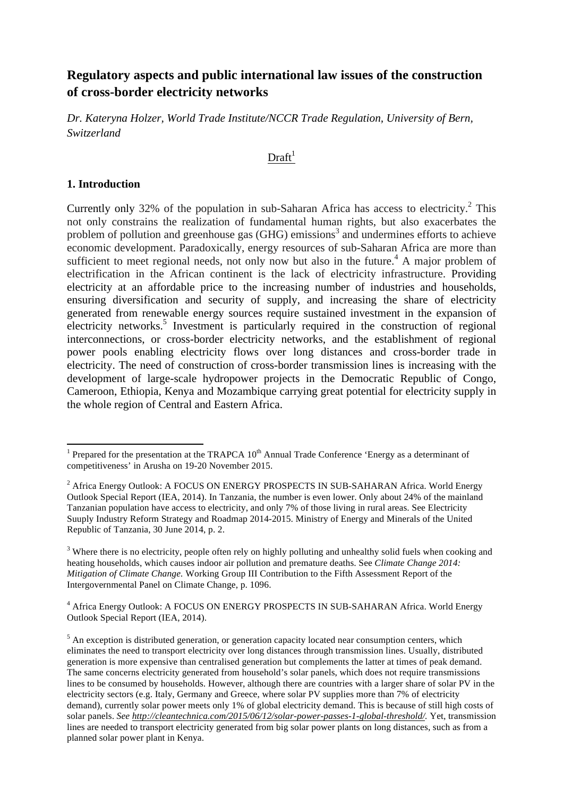# **Regulatory aspects and public international law issues of the construction of cross-border electricity networks**

*Dr. Kateryna Holzer, World Trade Institute/NCCR Trade Regulation, University of Bern, Switzerland*

#### $Draff<sup>1</sup>$

#### **1. Introduction**

<u> 1989 - Johann Stein, fransk politik (d. 1989)</u>

Currently only 32% of the population in sub-Saharan Africa has access to electricity.<sup>2</sup> This not only constrains the realization of fundamental human rights, but also exacerbates the problem of pollution and greenhouse gas  $(GHG)$  emissions<sup>3</sup> and undermines efforts to achieve economic development. Paradoxically, energy resources of sub-Saharan Africa are more than sufficient to meet regional needs, not only now but also in the future.<sup>4</sup> A major problem of electrification in the African continent is the lack of electricity infrastructure. Providing electricity at an affordable price to the increasing number of industries and households, ensuring diversification and security of supply, and increasing the share of electricity generated from renewable energy sources require sustained investment in the expansion of electricity networks.<sup>5</sup> Investment is particularly required in the construction of regional interconnections, or cross-border electricity networks, and the establishment of regional power pools enabling electricity flows over long distances and cross-border trade in electricity. The need of construction of cross-border transmission lines is increasing with the development of large-scale hydropower projects in the Democratic Republic of Congo, Cameroon, Ethiopia, Kenya and Mozambique carrying great potential for electricity supply in the whole region of Central and Eastern Africa.

<sup>&</sup>lt;sup>1</sup> Prepared for the presentation at the TRAPCA  $10^{th}$  Annual Trade Conference 'Energy as a determinant of competitiveness' in Arusha on 19-20 November 2015.

<sup>2</sup> Africa Energy Outlook: A FOCUS ON ENERGY PROSPECTS IN SUB-SAHARAN Africa. World Energy Outlook Special Report (IEA, 2014). In Tanzania, the number is even lower. Only about 24% of the mainland Tanzanian population have access to electricity, and only 7% of those living in rural areas. See Electricity Suuply Industry Reform Strategy and Roadmap 2014-2015. Ministry of Energy and Minerals of the United Republic of Tanzania, 30 June 2014, p. 2.

<sup>&</sup>lt;sup>3</sup> Where there is no electricity, people often rely on highly polluting and unhealthy solid fuels when cooking and heating households, which causes indoor air pollution and premature deaths. See *Climate Change 2014: Mitigation of Climate Change.* Working Group III Contribution to the Fifth Assessment Report of the Intergovernmental Panel on Climate Change, p. 1096.

<sup>4</sup> Africa Energy Outlook: A FOCUS ON ENERGY PROSPECTS IN SUB-SAHARAN Africa. World Energy Outlook Special Report (IEA, 2014).

 $<sup>5</sup>$  An exception is distributed generation, or generation capacity located near consumption centers, which</sup> eliminates the need to transport electricity over long distances through transmission lines. Usually, distributed generation is more expensive than centralised generation but complements the latter at times of peak demand. The same concerns electricity generated from household's solar panels, which does not require transmissions lines to be consumed by households. However, although there are countries with a larger share of solar PV in the electricity sectors (e.g. Italy, Germany and Greece, where solar PV supplies more than 7% of electricity demand), currently solar power meets only 1% of global electricity demand. This is because of still high costs of solar panels. *See http://cleantechnica.com/2015/06/12/solar-power-passes-1-global-threshold/.* Yet, transmission lines are needed to transport electricity generated from big solar power plants on long distances, such as from a planned solar power plant in Kenya.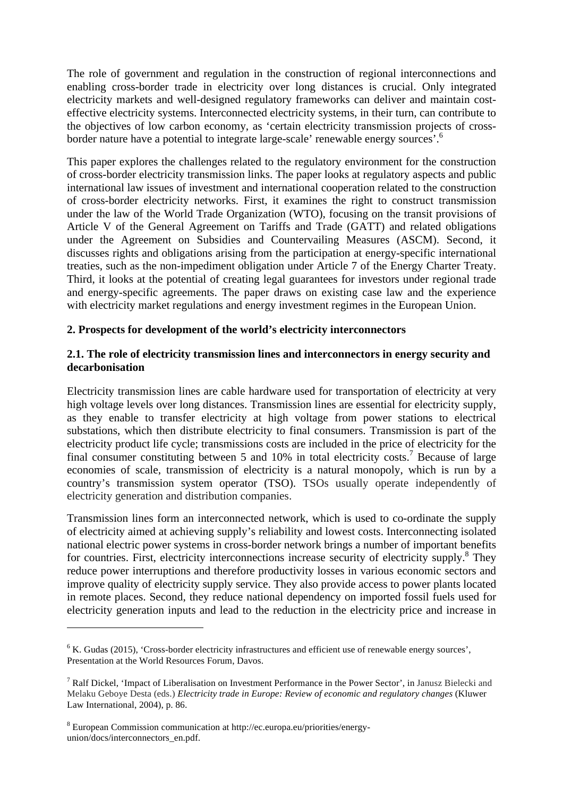The role of government and regulation in the construction of regional interconnections and enabling cross-border trade in electricity over long distances is crucial. Only integrated electricity markets and well-designed regulatory frameworks can deliver and maintain costeffective electricity systems. Interconnected electricity systems, in their turn, can contribute to the objectives of low carbon economy, as 'certain electricity transmission projects of crossborder nature have a potential to integrate large-scale' renewable energy sources'.<sup>6</sup>

This paper explores the challenges related to the regulatory environment for the construction of cross-border electricity transmission links. The paper looks at regulatory aspects and public international law issues of investment and international cooperation related to the construction of cross-border electricity networks. First, it examines the right to construct transmission under the law of the World Trade Organization (WTO), focusing on the transit provisions of Article V of the General Agreement on Tariffs and Trade (GATT) and related obligations under the Agreement on Subsidies and Countervailing Measures (ASCM). Second, it discusses rights and obligations arising from the participation at energy-specific international treaties, such as the non-impediment obligation under Article 7 of the Energy Charter Treaty. Third, it looks at the potential of creating legal guarantees for investors under regional trade and energy-specific agreements. The paper draws on existing case law and the experience with electricity market regulations and energy investment regimes in the European Union.

#### **2. Prospects for development of the world's electricity interconnectors**

#### **2.1. The role of electricity transmission lines and interconnectors in energy security and decarbonisation**

Electricity transmission lines are cable hardware used for transportation of electricity at very high voltage levels over long distances. Transmission lines are essential for electricity supply, as they enable to transfer electricity at high voltage from power stations to electrical substations, which then distribute electricity to final consumers. Transmission is part of the electricity product life cycle; transmissions costs are included in the price of electricity for the final consumer constituting between 5 and  $10\%$  in total electricity costs.<sup>7</sup> Because of large economies of scale, transmission of electricity is a natural monopoly, which is run by a country's transmission system operator (TSO). TSOs usually operate independently of electricity generation and distribution companies.

Transmission lines form an interconnected network, which is used to co-ordinate the supply of electricity aimed at achieving supply's reliability and lowest costs. Interconnecting isolated national electric power systems in cross-border network brings a number of important benefits for countries. First, electricity interconnections increase security of electricity supply.<sup>8</sup> They reduce power interruptions and therefore productivity losses in various economic sectors and improve quality of electricity supply service. They also provide access to power plants located in remote places. Second, they reduce national dependency on imported fossil fuels used for electricity generation inputs and lead to the reduction in the electricity price and increase in

 $6$  K. Gudas (2015), 'Cross-border electricity infrastructures and efficient use of renewable energy sources', Presentation at the World Resources Forum, Davos.

<sup>7</sup> Ralf Dickel, 'Impact of Liberalisation on Investment Performance in the Power Sector', in Janusz Bielecki and Melaku Geboye Desta (eds.) *Electricity trade in Europe: Review of economic and regulatory changes* (Kluwer Law International, 2004), p. 86.

<sup>8</sup> European Commission communication at http://ec.europa.eu/priorities/energyunion/docs/interconnectors\_en.pdf.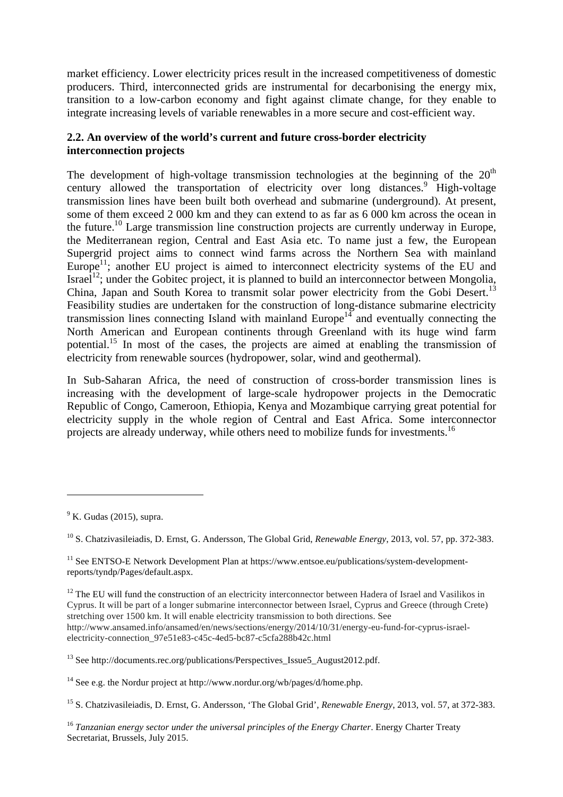market efficiency. Lower electricity prices result in the increased competitiveness of domestic producers. Third, interconnected grids are instrumental for decarbonising the energy mix, transition to a low-carbon economy and fight against climate change, for they enable to integrate increasing levels of variable renewables in a more secure and cost-efficient way.

### **2.2. An overview of the world's current and future cross-border electricity interconnection projects**

The development of high-voltage transmission technologies at the beginning of the  $20<sup>th</sup>$ century allowed the transportation of electricity over long distances.<sup>9</sup> High-voltage transmission lines have been built both overhead and submarine (underground). At present, some of them exceed 2 000 km and they can extend to as far as 6 000 km across the ocean in the future.<sup>10</sup> Large transmission line construction projects are currently underway in Europe, the Mediterranean region, Central and East Asia etc. To name just a few, the European Supergrid project aims to connect wind farms across the Northern Sea with mainland Europe<sup>11</sup>; another EU project is aimed to interconnect electricity systems of the EU and Israel<sup>12</sup>; under the Gobitec project, it is planned to build an interconnector between Mongolia, China, Japan and South Korea to transmit solar power electricity from the Gobi Desert.<sup>13</sup> Feasibility studies are undertaken for the construction of long-distance submarine electricity transmission lines connecting Island with mainland  $Europe<sup>14</sup>$  and eventually connecting the North American and European continents through Greenland with its huge wind farm potential.15 In most of the cases, the projects are aimed at enabling the transmission of electricity from renewable sources (hydropower, solar, wind and geothermal).

In Sub-Saharan Africa, the need of construction of cross-border transmission lines is increasing with the development of large-scale hydropower projects in the Democratic Republic of Congo, Cameroon, Ethiopia, Kenya and Mozambique carrying great potential for electricity supply in the whole region of Central and East Africa. Some interconnector projects are already underway, while others need to mobilize funds for investments.<sup>16</sup>

 $9$  K. Gudas (2015), supra.

<sup>10</sup> S. Chatzivasileiadis, D. Ernst, G. Andersson, The Global Grid, *Renewable Energy*, 2013, vol. 57, pp. 372-383.

<sup>&</sup>lt;sup>11</sup> See ENTSO-E Network Development Plan at https://www.entsoe.eu/publications/system-developmentreports/tyndp/Pages/default.aspx.

<sup>&</sup>lt;sup>12</sup> The EU will fund the construction of an electricity interconnector between Hadera of Israel and Vasilikos in Cyprus. It will be part of a longer submarine interconnector between Israel, Cyprus and Greece (through Crete) stretching over 1500 km. It will enable electricity transmission to both directions. See http://www.ansamed.info/ansamed/en/news/sections/energy/2014/10/31/energy-eu-fund-for-cyprus-israelelectricity-connection\_97e51e83-c45c-4ed5-bc87-c5cfa288b42c.html

<sup>&</sup>lt;sup>13</sup> See http://documents.rec.org/publications/Perspectives\_Issue5\_August2012.pdf.

<sup>&</sup>lt;sup>14</sup> See e.g. the Nordur project at http://www.nordur.org/wb/pages/d/home.php.

<sup>15</sup> S. Chatzivasileiadis, D. Ernst, G. Andersson, 'The Global Grid', *Renewable Energy*, 2013, vol. 57, at 372-383.

<sup>&</sup>lt;sup>16</sup> Tanzanian energy sector under the universal principles of the Energy Charter. Energy Charter Treaty Secretariat, Brussels, July 2015.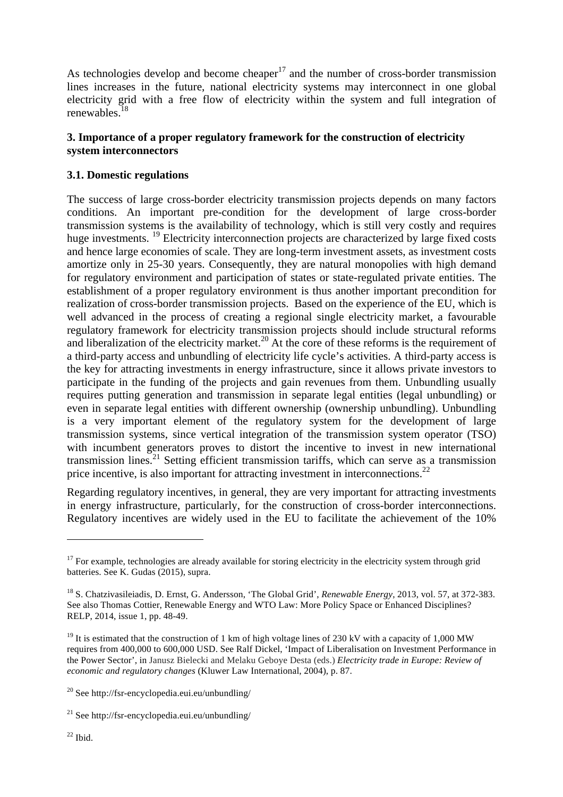As technologies develop and become cheaper<sup>17</sup> and the number of cross-border transmission lines increases in the future, national electricity systems may interconnect in one global electricity grid with a free flow of electricity within the system and full integration of renewables.<sup>18</sup>

### **3. Importance of a proper regulatory framework for the construction of electricity system interconnectors**

# **3.1. Domestic regulations**

The success of large cross-border electricity transmission projects depends on many factors conditions. An important pre-condition for the development of large cross-border transmission systems is the availability of technology, which is still very costly and requires huge investments. <sup>19</sup> Electricity interconnection projects are characterized by large fixed costs and hence large economies of scale. They are long-term investment assets, as investment costs amortize only in 25-30 years. Consequently, they are natural monopolies with high demand for regulatory environment and participation of states or state-regulated private entities. The establishment of a proper regulatory environment is thus another important precondition for realization of cross-border transmission projects. Based on the experience of the EU, which is well advanced in the process of creating a regional single electricity market, a favourable regulatory framework for electricity transmission projects should include structural reforms and liberalization of the electricity market.<sup>20</sup> At the core of these reforms is the requirement of a third-party access and unbundling of electricity life cycle's activities. A third-party access is the key for attracting investments in energy infrastructure, since it allows private investors to participate in the funding of the projects and gain revenues from them. Unbundling usually requires putting generation and transmission in separate legal entities (legal unbundling) or even in separate legal entities with different ownership (ownership unbundling). Unbundling is a very important element of the regulatory system for the development of large transmission systems, since vertical integration of the transmission system operator (TSO) with incumbent generators proves to distort the incentive to invest in new international transmission lines.<sup>21</sup> Setting efficient transmission tariffs, which can serve as a transmission price incentive, is also important for attracting investment in interconnections.<sup>22</sup>

Regarding regulatory incentives, in general, they are very important for attracting investments in energy infrastructure, particularly, for the construction of cross-border interconnections. Regulatory incentives are widely used in the EU to facilitate the achievement of the 10%

<u> 1989 - Johann Stein, fransk politik (d. 1989)</u>

 $22$  Ibid.

 $17$  For example, technologies are already available for storing electricity in the electricity system through grid batteries. See K. Gudas (2015), supra.

<sup>18</sup> S. Chatzivasileiadis, D. Ernst, G. Andersson, 'The Global Grid', *Renewable Energy*, 2013, vol. 57, at 372-383. See also Thomas Cottier, Renewable Energy and WTO Law: More Policy Space or Enhanced Disciplines? RELP, 2014, issue 1, pp. 48-49.

<sup>&</sup>lt;sup>19</sup> It is estimated that the construction of 1 km of high voltage lines of 230 kV with a capacity of 1,000 MW requires from 400,000 to 600,000 USD. See Ralf Dickel, 'Impact of Liberalisation on Investment Performance in the Power Sector', in Janusz Bielecki and Melaku Geboye Desta (eds.) *Electricity trade in Europe: Review of economic and regulatory changes* (Kluwer Law International, 2004), p. 87.

<sup>&</sup>lt;sup>20</sup> See http://fsr-encyclopedia.eui.eu/unbundling/

<sup>&</sup>lt;sup>21</sup> See http://fsr-encyclopedia.eui.eu/unbundling/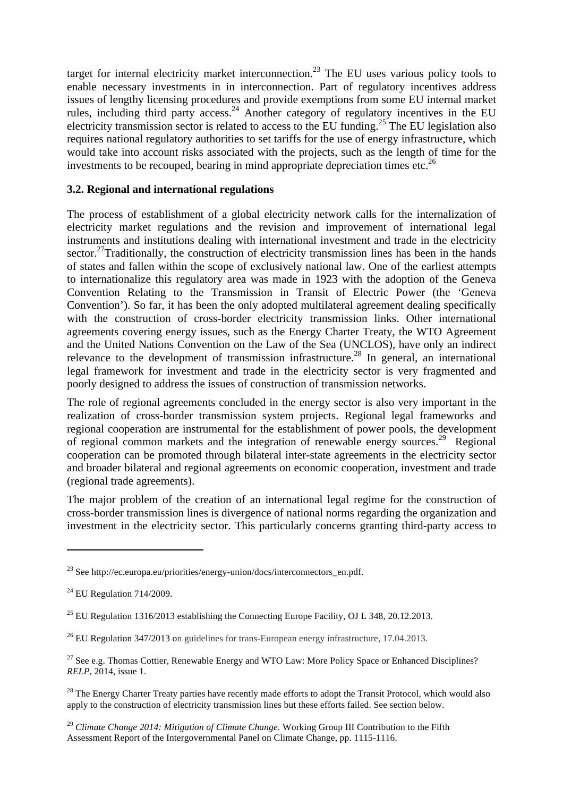target for internal electricity market interconnection.<sup>23</sup> The EU uses various policy tools to enable necessary investments in in interconnection. Part of regulatory incentives address issues of lengthy licensing procedures and provide exemptions from some EU internal market rules, including third party access.<sup>24</sup> Another category of regulatory incentives in the EU electricity transmission sector is related to access to the EU funding.<sup>25</sup> The EU legislation also requires national regulatory authorities to set tariffs for the use of energy infrastructure, which would take into account risks associated with the projects, such as the length of time for the investments to be recouped, bearing in mind appropriate depreciation times etc.<sup>26</sup>

# **3.2. Regional and international regulations**

The process of establishment of a global electricity network calls for the internalization of electricity market regulations and the revision and improvement of international legal instruments and institutions dealing with international investment and trade in the electricity sector.<sup>27</sup>Traditionally, the construction of electricity transmission lines has been in the hands of states and fallen within the scope of exclusively national law. One of the earliest attempts to internationalize this regulatory area was made in 1923 with the adoption of the Geneva Convention Relating to the Transmission in Transit of Electric Power (the 'Geneva Convention'). So far, it has been the only adopted multilateral agreement dealing specifically with the construction of cross-border electricity transmission links. Other international agreements covering energy issues, such as the Energy Charter Treaty, the WTO Agreement and the United Nations Convention on the Law of the Sea (UNCLOS), have only an indirect relevance to the development of transmission infrastructure.<sup>28</sup> In general, an international legal framework for investment and trade in the electricity sector is very fragmented and poorly designed to address the issues of construction of transmission networks.

The role of regional agreements concluded in the energy sector is also very important in the realization of cross-border transmission system projects. Regional legal frameworks and regional cooperation are instrumental for the establishment of power pools, the development of regional common markets and the integration of renewable energy sources.<sup>29</sup> Regional cooperation can be promoted through bilateral inter-state agreements in the electricity sector and broader bilateral and regional agreements on economic cooperation, investment and trade (regional trade agreements).

The major problem of the creation of an international legal regime for the construction of cross-border transmission lines is divergence of national norms regarding the organization and investment in the electricity sector. This particularly concerns granting third-party access to

<sup>&</sup>lt;sup>23</sup> See http://ec.europa.eu/priorities/energy-union/docs/interconnectors en.pdf.

 $24$  EU Regulation 714/2009.

<sup>&</sup>lt;sup>25</sup> EU Regulation 1316/2013 establishing the Connecting Europe Facility, OJ L 348, 20.12.2013.

 $^{26}$  EU Regulation 347/2013 on guidelines for trans-European energy infrastructure, 17.04.2013.

<sup>&</sup>lt;sup>27</sup> See e.g. Thomas Cottier, Renewable Energy and WTO Law: More Policy Space or Enhanced Disciplines? *RELP*, 2014, issue 1.

<sup>&</sup>lt;sup>28</sup> The Energy Charter Treaty parties have recently made efforts to adopt the Transit Protocol, which would also apply to the construction of electricity transmission lines but these efforts failed. See section below.

<sup>29</sup> *Climate Change 2014: Mitigation of Climate Change.* Working Group III Contribution to the Fifth Assessment Report of the Intergovernmental Panel on Climate Change, pp. 1115-1116.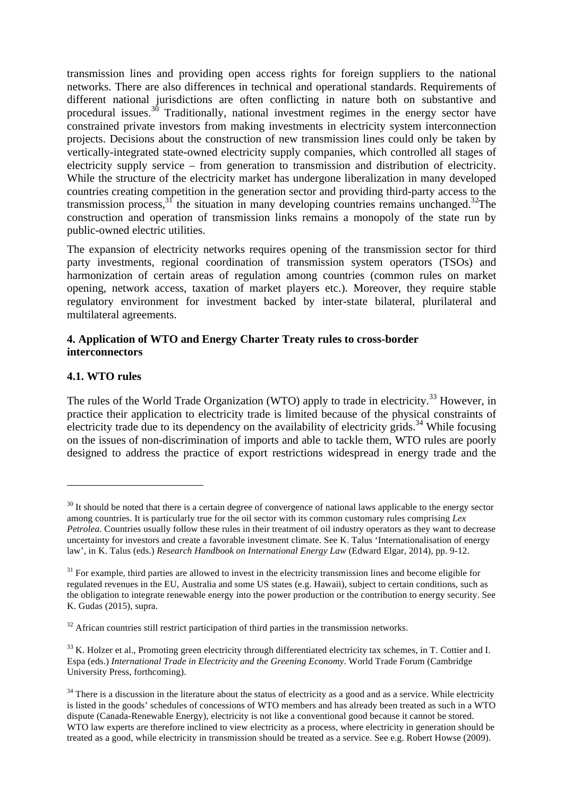transmission lines and providing open access rights for foreign suppliers to the national networks. There are also differences in technical and operational standards. Requirements of different national jurisdictions are often conflicting in nature both on substantive and procedural issues.<sup>30</sup> Traditionally, national investment regimes in the energy sector have constrained private investors from making investments in electricity system interconnection projects. Decisions about the construction of new transmission lines could only be taken by vertically-integrated state-owned electricity supply companies, which controlled all stages of electricity supply service – from generation to transmission and distribution of electricity. While the structure of the electricity market has undergone liberalization in many developed countries creating competition in the generation sector and providing third-party access to the transmission process,  $3^{\circ}$  the situation in many developing countries remains unchanged.  $32$ The construction and operation of transmission links remains a monopoly of the state run by public-owned electric utilities.

The expansion of electricity networks requires opening of the transmission sector for third party investments, regional coordination of transmission system operators (TSOs) and harmonization of certain areas of regulation among countries (common rules on market opening, network access, taxation of market players etc.). Moreover, they require stable regulatory environment for investment backed by inter-state bilateral, plurilateral and multilateral agreements.

### **4. Application of WTO and Energy Charter Treaty rules to cross-border interconnectors**

# **4.1. WTO rules**

<u> 1989 - Johann Stein, fransk politik (d. 1989)</u>

The rules of the World Trade Organization (WTO) apply to trade in electricity.<sup>33</sup> However, in practice their application to electricity trade is limited because of the physical constraints of electricity trade due to its dependency on the availability of electricity grids.<sup>34</sup> While focusing on the issues of non-discrimination of imports and able to tackle them, WTO rules are poorly designed to address the practice of export restrictions widespread in energy trade and the

 $30$  It should be noted that there is a certain degree of convergence of national laws applicable to the energy sector among countries. It is particularly true for the oil sector with its common customary rules comprising *Lex Petrolea*. Countries usually follow these rules in their treatment of oil industry operators as they want to decrease uncertainty for investors and create a favorable investment climate. See K. Talus 'Internationalisation of energy law', in K. Talus (eds.) *Research Handbook on International Energy Law* (Edward Elgar, 2014), pp. 9-12.

 $31$  For example, third parties are allowed to invest in the electricity transmission lines and become eligible for regulated revenues in the EU, Australia and some US states (e.g. Hawaii), subject to certain conditions, such as the obligation to integrate renewable energy into the power production or the contribution to energy security. See K. Gudas (2015), supra.

 $32$  African countries still restrict participation of third parties in the transmission networks.

<sup>&</sup>lt;sup>33</sup> K. Holzer et al., Promoting green electricity through differentiated electricity tax schemes, in T. Cottier and I. Espa (eds.) *International Trade in Electricity and the Greening Economy*. World Trade Forum (Cambridge University Press, forthcoming).

 $34$  There is a discussion in the literature about the status of electricity as a good and as a service. While electricity is listed in the goods' schedules of concessions of WTO members and has already been treated as such in a WTO dispute (Canada-Renewable Energy), electricity is not like a conventional good because it cannot be stored. WTO law experts are therefore inclined to view electricity as a process, where electricity in generation should be treated as a good, while electricity in transmission should be treated as a service. See e.g. Robert Howse (2009).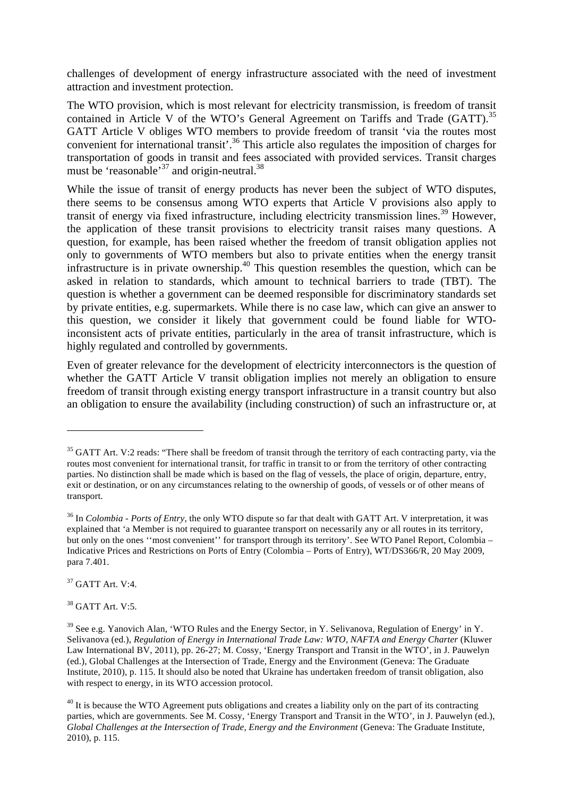challenges of development of energy infrastructure associated with the need of investment attraction and investment protection.

The WTO provision, which is most relevant for electricity transmission, is freedom of transit contained in Article V of the WTO's General Agreement on Tariffs and Trade (GATT).<sup>35</sup> GATT Article V obliges WTO members to provide freedom of transit 'via the routes most convenient for international transit<sup>'.36</sup> This article also regulates the imposition of charges for transportation of goods in transit and fees associated with provided services. Transit charges must be 'reasonable'<sup>37</sup> and origin-neutral.<sup>38</sup>

While the issue of transit of energy products has never been the subject of WTO disputes, there seems to be consensus among WTO experts that Article V provisions also apply to transit of energy via fixed infrastructure, including electricity transmission lines.<sup>39</sup> However, the application of these transit provisions to electricity transit raises many questions. A question, for example, has been raised whether the freedom of transit obligation applies not only to governments of WTO members but also to private entities when the energy transit infrastructure is in private ownership.<sup>40</sup> This question resembles the question, which can be asked in relation to standards, which amount to technical barriers to trade (TBT). The question is whether a government can be deemed responsible for discriminatory standards set by private entities, e.g. supermarkets. While there is no case law, which can give an answer to this question, we consider it likely that government could be found liable for WTOinconsistent acts of private entities, particularly in the area of transit infrastructure, which is highly regulated and controlled by governments.

Even of greater relevance for the development of electricity interconnectors is the question of whether the GATT Article V transit obligation implies not merely an obligation to ensure freedom of transit through existing energy transport infrastructure in a transit country but also an obligation to ensure the availability (including construction) of such an infrastructure or, at

<sup>37</sup> GATT Art. V:4.

 

 $38$  GATT Art. V:5.

 $35$  GATT Art. V:2 reads: "There shall be freedom of transit through the territory of each contracting party, via the routes most convenient for international transit, for traffic in transit to or from the territory of other contracting parties. No distinction shall be made which is based on the flag of vessels, the place of origin, departure, entry, exit or destination, or on any circumstances relating to the ownership of goods, of vessels or of other means of transport.

<sup>36</sup> In *Colombia - Ports of Entry*, the only WTO dispute so far that dealt with GATT Art. V interpretation, it was explained that 'a Member is not required to guarantee transport on necessarily any or all routes in its territory, but only on the ones ''most convenient'' for transport through its territory'. See WTO Panel Report, Colombia – Indicative Prices and Restrictions on Ports of Entry (Colombia – Ports of Entry), WT/DS366/R, 20 May 2009, para 7.401.

 $39$  See e.g. Yanovich Alan, 'WTO Rules and the Energy Sector, in Y. Selivanova, Regulation of Energy' in Y. Selivanova (ed.), *Regulation of Energy in International Trade Law: WTO, NAFTA and Energy Charter* (Kluwer Law International BV, 2011), pp. 26-27; M. Cossy, 'Energy Transport and Transit in the WTO', in J. Pauwelyn (ed.), Global Challenges at the Intersection of Trade, Energy and the Environment (Geneva: The Graduate Institute, 2010), p. 115. It should also be noted that Ukraine has undertaken freedom of transit obligation, also with respect to energy, in its WTO accession protocol.

 $40$  It is because the WTO Agreement puts obligations and creates a liability only on the part of its contracting parties, which are governments. See M. Cossy, 'Energy Transport and Transit in the WTO', in J. Pauwelyn (ed.), *Global Challenges at the Intersection of Trade, Energy and the Environment* (Geneva: The Graduate Institute, 2010), p. 115.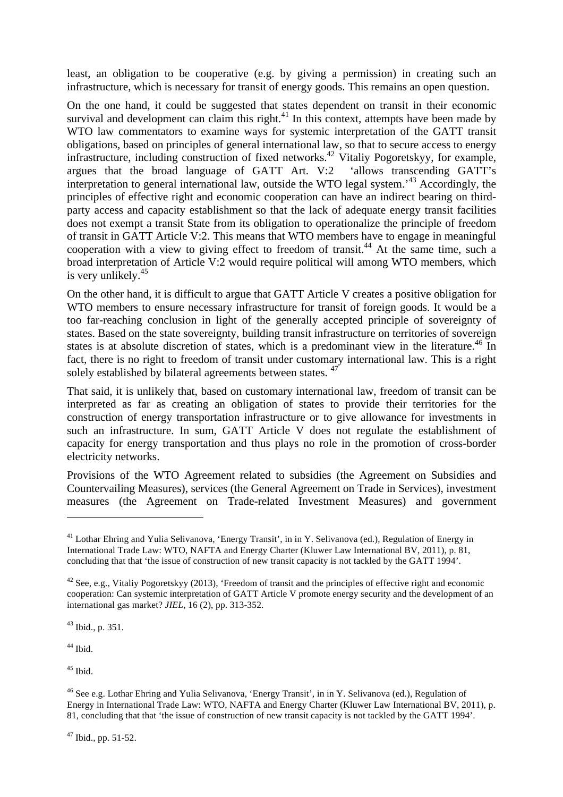least, an obligation to be cooperative (e.g. by giving a permission) in creating such an infrastructure, which is necessary for transit of energy goods. This remains an open question.

On the one hand, it could be suggested that states dependent on transit in their economic survival and development can claim this right.<sup>41</sup> In this context, attempts have been made by WTO law commentators to examine ways for systemic interpretation of the GATT transit obligations, based on principles of general international law, so that to secure access to energy infrastructure, including construction of fixed networks.<sup>42</sup> Vitaliy Pogoretskyy, for example, argues that the broad language of GATT Art. V:2 'allows transcending GATT's interpretation to general international law, outside the WTO legal system.'<sup>43</sup> Accordingly, the principles of effective right and economic cooperation can have an indirect bearing on thirdparty access and capacity establishment so that the lack of adequate energy transit facilities does not exempt a transit State from its obligation to operationalize the principle of freedom of transit in GATT Article V:2. This means that WTO members have to engage in meaningful cooperation with a view to giving effect to freedom of transit.<sup>44</sup> At the same time, such a broad interpretation of Article V:2 would require political will among WTO members, which is very unlikely.<sup>45</sup>

On the other hand, it is difficult to argue that GATT Article V creates a positive obligation for WTO members to ensure necessary infrastructure for transit of foreign goods. It would be a too far-reaching conclusion in light of the generally accepted principle of sovereignty of states. Based on the state sovereignty, building transit infrastructure on territories of sovereign states is at absolute discretion of states, which is a predominant view in the literature.<sup>46</sup> In fact, there is no right to freedom of transit under customary international law. This is a right solely established by bilateral agreements between states.<sup>47</sup>

That said, it is unlikely that, based on customary international law, freedom of transit can be interpreted as far as creating an obligation of states to provide their territories for the construction of energy transportation infrastructure or to give allowance for investments in such an infrastructure. In sum, GATT Article V does not regulate the establishment of capacity for energy transportation and thus plays no role in the promotion of cross-border electricity networks.

Provisions of the WTO Agreement related to subsidies (the Agreement on Subsidies and Countervailing Measures), services (the General Agreement on Trade in Services), investment measures (the Agreement on Trade-related Investment Measures) and government

<sup>43</sup> Ibid., p. 351.

 

 $44$  Ibid.

 $45$  Ibid.

<sup>46</sup> See e.g. Lothar Ehring and Yulia Selivanova, 'Energy Transit', in in Y. Selivanova (ed.), Regulation of Energy in International Trade Law: WTO, NAFTA and Energy Charter (Kluwer Law International BV, 2011), p. 81, concluding that that 'the issue of construction of new transit capacity is not tackled by the GATT 1994'.

 $47$  Ibid., pp. 51-52.

<sup>&</sup>lt;sup>41</sup> Lothar Ehring and Yulia Selivanova, 'Energy Transit', in in Y. Selivanova (ed.), Regulation of Energy in International Trade Law: WTO, NAFTA and Energy Charter (Kluwer Law International BV, 2011), p. 81, concluding that that 'the issue of construction of new transit capacity is not tackled by the GATT 1994'.

 $42$  See, e.g., Vitaliy Pogoretskyy (2013), 'Freedom of transit and the principles of effective right and economic cooperation: Can systemic interpretation of GATT Article V promote energy security and the development of an international gas market? *JIEL*, 16 (2), pp. 313-352.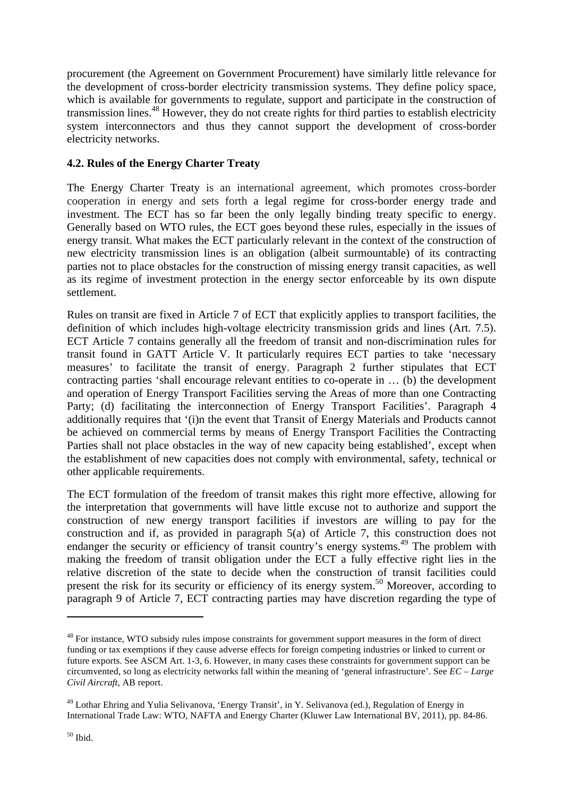procurement (the Agreement on Government Procurement) have similarly little relevance for the development of cross-border electricity transmission systems. They define policy space, which is available for governments to regulate, support and participate in the construction of transmission lines.<sup>48</sup> However, they do not create rights for third parties to establish electricity system interconnectors and thus they cannot support the development of cross-border electricity networks.

# **4.2. Rules of the Energy Charter Treaty**

The Energy Charter Treaty is an international agreement, which promotes cross-border cooperation in energy and sets forth a legal regime for cross-border energy trade and investment. The ECT has so far been the only legally binding treaty specific to energy. Generally based on WTO rules, the ECT goes beyond these rules, especially in the issues of energy transit. What makes the ECT particularly relevant in the context of the construction of new electricity transmission lines is an obligation (albeit surmountable) of its contracting parties not to place obstacles for the construction of missing energy transit capacities, as well as its regime of investment protection in the energy sector enforceable by its own dispute settlement.

Rules on transit are fixed in Article 7 of ECT that explicitly applies to transport facilities, the definition of which includes high-voltage electricity transmission grids and lines (Art. 7.5). ECT Article 7 contains generally all the freedom of transit and non-discrimination rules for transit found in GATT Article V. It particularly requires ECT parties to take 'necessary measures' to facilitate the transit of energy. Paragraph 2 further stipulates that ECT contracting parties 'shall encourage relevant entities to co-operate in … (b) the development and operation of Energy Transport Facilities serving the Areas of more than one Contracting Party; (d) facilitating the interconnection of Energy Transport Facilities'. Paragraph 4 additionally requires that '(i)n the event that Transit of Energy Materials and Products cannot be achieved on commercial terms by means of Energy Transport Facilities the Contracting Parties shall not place obstacles in the way of new capacity being established', except when the establishment of new capacities does not comply with environmental, safety, technical or other applicable requirements.

The ECT formulation of the freedom of transit makes this right more effective, allowing for the interpretation that governments will have little excuse not to authorize and support the construction of new energy transport facilities if investors are willing to pay for the construction and if, as provided in paragraph 5(a) of Article 7, this construction does not endanger the security or efficiency of transit country's energy systems.<sup>49</sup> The problem with making the freedom of transit obligation under the ECT a fully effective right lies in the relative discretion of the state to decide when the construction of transit facilities could present the risk for its security or efficiency of its energy system.<sup>50</sup> Moreover, according to paragraph 9 of Article 7, ECT contracting parties may have discretion regarding the type of

 

<sup>&</sup>lt;sup>48</sup> For instance, WTO subsidy rules impose constraints for government support measures in the form of direct funding or tax exemptions if they cause adverse effects for foreign competing industries or linked to current or future exports. See ASCM Art. 1-3, 6. However, in many cases these constraints for government support can be circumvented, so long as electricity networks fall within the meaning of 'general infrastructure'. See *EC – Large Civil Aircraft,* AB report.

<sup>49</sup> Lothar Ehring and Yulia Selivanova, 'Energy Transit', in Y. Selivanova (ed.), Regulation of Energy in International Trade Law: WTO, NAFTA and Energy Charter (Kluwer Law International BV, 2011), pp. 84-86.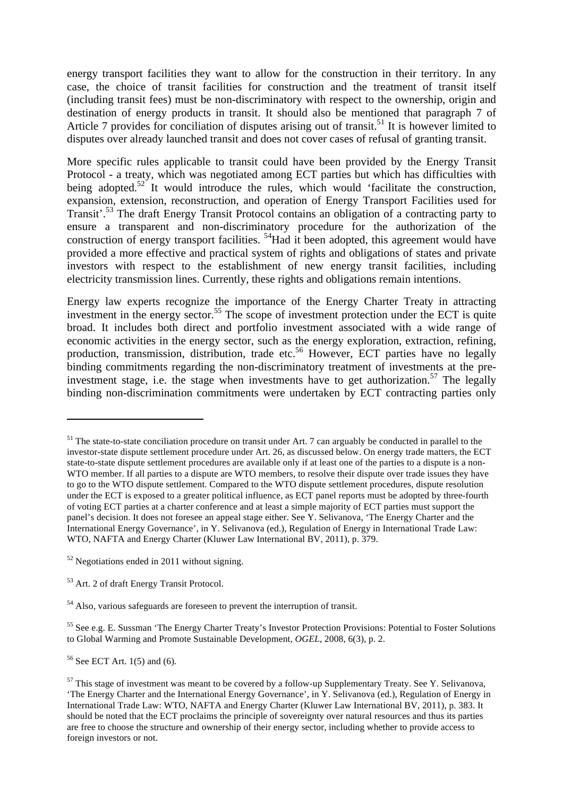energy transport facilities they want to allow for the construction in their territory. In any case, the choice of transit facilities for construction and the treatment of transit itself (including transit fees) must be non-discriminatory with respect to the ownership, origin and destination of energy products in transit. It should also be mentioned that paragraph 7 of Article 7 provides for conciliation of disputes arising out of transit.<sup>51</sup> It is however limited to disputes over already launched transit and does not cover cases of refusal of granting transit.

More specific rules applicable to transit could have been provided by the Energy Transit Protocol - a treaty, which was negotiated among ECT parties but which has difficulties with being adopted.<sup>52</sup> It would introduce the rules, which would 'facilitate the construction, expansion, extension, reconstruction, and operation of Energy Transport Facilities used for Transit'.<sup>53</sup> The draft Energy Transit Protocol contains an obligation of a contracting party to ensure a transparent and non-discriminatory procedure for the authorization of the construction of energy transport facilities. <sup>54</sup>Had it been adopted, this agreement would have provided a more effective and practical system of rights and obligations of states and private investors with respect to the establishment of new energy transit facilities, including electricity transmission lines. Currently, these rights and obligations remain intentions.

Energy law experts recognize the importance of the Energy Charter Treaty in attracting investment in the energy sector.<sup>55</sup> The scope of investment protection under the ECT is quite broad. It includes both direct and portfolio investment associated with a wide range of economic activities in the energy sector, such as the energy exploration, extraction, refining, production, transmission, distribution, trade etc.<sup>56</sup> However, ECT parties have no legally binding commitments regarding the non-discriminatory treatment of investments at the preinvestment stage, i.e. the stage when investments have to get authorization.<sup>57</sup> The legally binding non-discrimination commitments were undertaken by ECT contracting parties only

 

<sup>55</sup> See e.g. E. Sussman 'The Energy Charter Treaty's Investor Protection Provisions: Potential to Foster Solutions to Global Warming and Promote Sustainable Development, *OGEL*, 2008, 6(3), p. 2.

 $56$  See ECT Art. 1(5) and (6).

 $<sup>51</sup>$  The state-to-state conciliation procedure on transit under Art. 7 can arguably be conducted in parallel to the</sup> investor-state dispute settlement procedure under Art. 26, as discussed below. On energy trade matters, the ECT state-to-state dispute settlement procedures are available only if at least one of the parties to a dispute is a non-WTO member. If all parties to a dispute are WTO members, to resolve their dispute over trade issues they have to go to the WTO dispute settlement. Compared to the WTO dispute settlement procedures, dispute resolution under the ECT is exposed to a greater political influence, as ECT panel reports must be adopted by three-fourth of voting ECT parties at a charter conference and at least a simple majority of ECT parties must support the panel's decision. It does not foresee an appeal stage either. See Y. Selivanova, 'The Energy Charter and the International Energy Governance', in Y. Selivanova (ed.), Regulation of Energy in International Trade Law: WTO, NAFTA and Energy Charter (Kluwer Law International BV, 2011), p. 379.

 $52$  Negotiations ended in 2011 without signing.

<sup>53</sup> Art. 2 of draft Energy Transit Protocol.

<sup>54</sup> Also, various safeguards are foreseen to prevent the interruption of transit.

 $57$  This stage of investment was meant to be covered by a follow-up Supplementary Treaty. See Y. Selivanova, 'The Energy Charter and the International Energy Governance', in Y. Selivanova (ed.), Regulation of Energy in International Trade Law: WTO, NAFTA and Energy Charter (Kluwer Law International BV, 2011), p. 383. It should be noted that the ECT proclaims the principle of sovereignty over natural resources and thus its parties are free to choose the structure and ownership of their energy sector, including whether to provide access to foreign investors or not.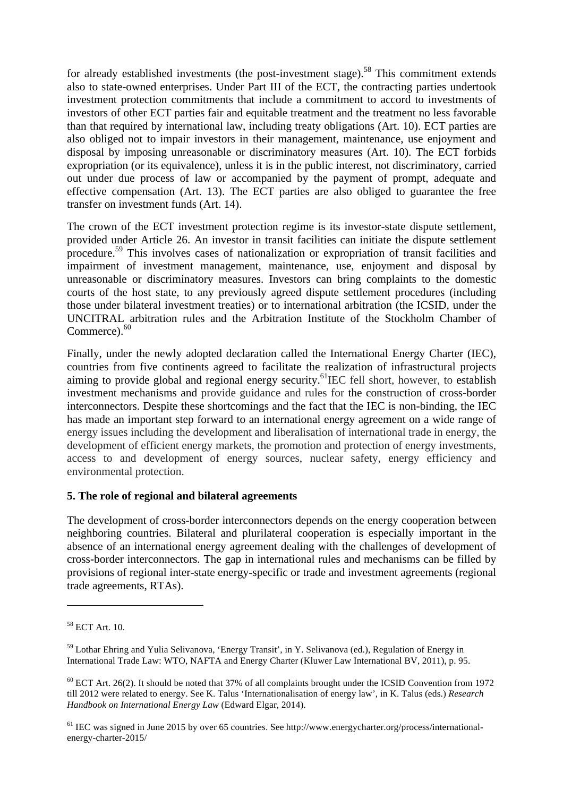for already established investments (the post-investment stage).<sup>58</sup> This commitment extends also to state-owned enterprises. Under Part III of the ECT, the contracting parties undertook investment protection commitments that include a commitment to accord to investments of investors of other ECT parties fair and equitable treatment and the treatment no less favorable than that required by international law, including treaty obligations (Art. 10). ECT parties are also obliged not to impair investors in their management, maintenance, use enjoyment and disposal by imposing unreasonable or discriminatory measures (Art. 10). The ECT forbids expropriation (or its equivalence), unless it is in the public interest, not discriminatory, carried out under due process of law or accompanied by the payment of prompt, adequate and effective compensation (Art. 13). The ECT parties are also obliged to guarantee the free transfer on investment funds (Art. 14).

The crown of the ECT investment protection regime is its investor-state dispute settlement, provided under Article 26. An investor in transit facilities can initiate the dispute settlement procedure.59 This involves cases of nationalization or expropriation of transit facilities and impairment of investment management, maintenance, use, enjoyment and disposal by unreasonable or discriminatory measures. Investors can bring complaints to the domestic courts of the host state, to any previously agreed dispute settlement procedures (including those under bilateral investment treaties) or to international arbitration (the ICSID, under the UNCITRAL arbitration rules and the Arbitration Institute of the Stockholm Chamber of Commerce).<sup>60</sup>

Finally, under the newly adopted declaration called the International Energy Charter (IEC), countries from five continents agreed to facilitate the realization of infrastructural projects aiming to provide global and regional energy security.<sup>61</sup>IEC fell short, however, to establish investment mechanisms and provide guidance and rules for the construction of cross-border interconnectors. Despite these shortcomings and the fact that the IEC is non-binding, the IEC has made an important step forward to an international energy agreement on a wide range of energy issues including the development and liberalisation of international trade in energy, the development of efficient energy markets, the promotion and protection of energy investments, access to and development of energy sources, nuclear safety, energy efficiency and environmental protection.

# **5. The role of regional and bilateral agreements**

The development of cross-border interconnectors depends on the energy cooperation between neighboring countries. Bilateral and plurilateral cooperation is especially important in the absence of an international energy agreement dealing with the challenges of development of cross-border interconnectors. The gap in international rules and mechanisms can be filled by provisions of regional inter-state energy-specific or trade and investment agreements (regional trade agreements, RTAs).

 

<sup>61</sup> IEC was signed in June 2015 by over 65 countries. See http://www.energycharter.org/process/internationalenergy-charter-2015/

<sup>58</sup> ECT Art. 10.

<sup>59</sup> Lothar Ehring and Yulia Selivanova, 'Energy Transit', in Y. Selivanova (ed.), Regulation of Energy in International Trade Law: WTO, NAFTA and Energy Charter (Kluwer Law International BV, 2011), p. 95.

 $^{60}$  ECT Art. 26(2). It should be noted that 37% of all complaints brought under the ICSID Convention from 1972 till 2012 were related to energy. See K. Talus 'Internationalisation of energy law', in K. Talus (eds.) *Research Handbook on International Energy Law* (Edward Elgar, 2014).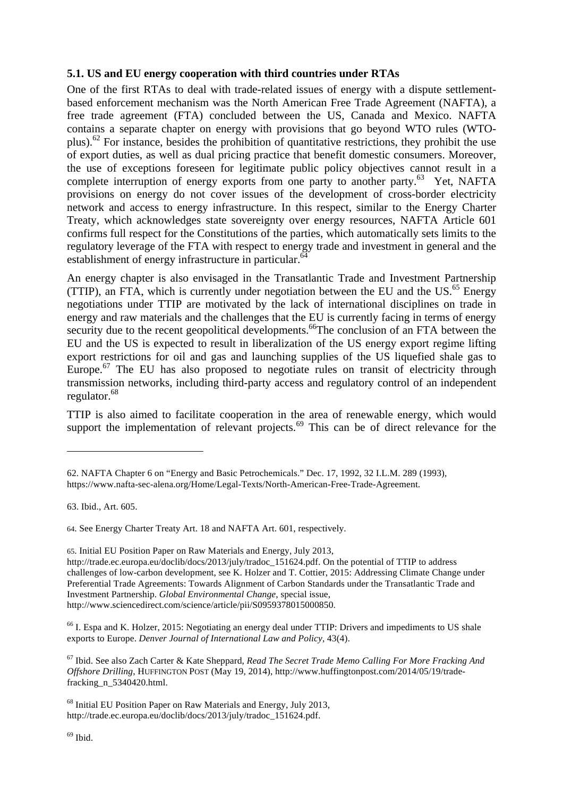#### **5.1. US and EU energy cooperation with third countries under RTAs**

One of the first RTAs to deal with trade-related issues of energy with a dispute settlementbased enforcement mechanism was the North American Free Trade Agreement (NAFTA), a free trade agreement (FTA) concluded between the US, Canada and Mexico. NAFTA contains a separate chapter on energy with provisions that go beyond WTO rules (WTOplus).<sup>62</sup> For instance, besides the prohibition of quantitative restrictions, they prohibit the use of export duties, as well as dual pricing practice that benefit domestic consumers. Moreover, the use of exceptions foreseen for legitimate public policy objectives cannot result in a complete interruption of energy exports from one party to another party.<sup>63</sup> Yet, NAFTA provisions on energy do not cover issues of the development of cross-border electricity network and access to energy infrastructure. In this respect, similar to the Energy Charter Treaty, which acknowledges state sovereignty over energy resources, NAFTA Article 601 confirms full respect for the Constitutions of the parties, which automatically sets limits to the regulatory leverage of the FTA with respect to energy trade and investment in general and the establishment of energy infrastructure in particular.<sup>64</sup>

An energy chapter is also envisaged in the Transatlantic Trade and Investment Partnership (TTIP), an FTA, which is currently under negotiation between the EU and the US. $^{65}$  Energy negotiations under TTIP are motivated by the lack of international disciplines on trade in energy and raw materials and the challenges that the EU is currently facing in terms of energy security due to the recent geopolitical developments.<sup>66</sup>The conclusion of an FTA between the EU and the US is expected to result in liberalization of the US energy export regime lifting export restrictions for oil and gas and launching supplies of the US liquefied shale gas to Europe.<sup>67</sup> The EU has also proposed to negotiate rules on transit of electricity through transmission networks, including third-party access and regulatory control of an independent regulator.<sup>68</sup>

TTIP is also aimed to facilitate cooperation in the area of renewable energy, which would support the implementation of relevant projects. $69$  This can be of direct relevance for the

<u> 1989 - Johann Stein, fransk politik (d. 1989)</u>

64. See Energy Charter Treaty Art. 18 and NAFTA Art. 601, respectively.

65. Initial EU Position Paper on Raw Materials and Energy, July 2013, http://trade.ec.europa.eu/doclib/docs/2013/july/tradoc\_151624.pdf. On the potential of TTIP to address challenges of low-carbon development, see K. Holzer and T. Cottier, 2015: Addressing Climate Change under Preferential Trade Agreements: Towards Alignment of Carbon Standards under the Transatlantic Trade and Investment Partnership. *Global Environmental Change*, special issue, http://www.sciencedirect.com/science/article/pii/S0959378015000850.

<sup>66</sup> I. Espa and K. Holzer, 2015: Negotiating an energy deal under TTIP: Drivers and impediments to US shale exports to Europe. *Denver Journal of International Law and Policy*, 43(4).

<sup>67</sup> Ibid. See also Zach Carter & Kate Sheppard, *Read The Secret Trade Memo Calling For More Fracking And Offshore Drilling*, HUFFINGTON POST (May 19, 2014), http://www.huffingtonpost.com/2014/05/19/tradefracking\_n\_5340420.html.

<sup>68</sup> Initial EU Position Paper on Raw Materials and Energy, July 2013, http://trade.ec.europa.eu/doclib/docs/2013/july/tradoc\_151624.pdf.

<sup>62.</sup> NAFTA Chapter 6 on "Energy and Basic Petrochemicals." Dec. 17, 1992, 32 I.L.M. 289 (1993), https://www.nafta-sec-alena.org/Home/Legal-Texts/North-American-Free-Trade-Agreement.

<sup>63.</sup> Ibid., Art. 605.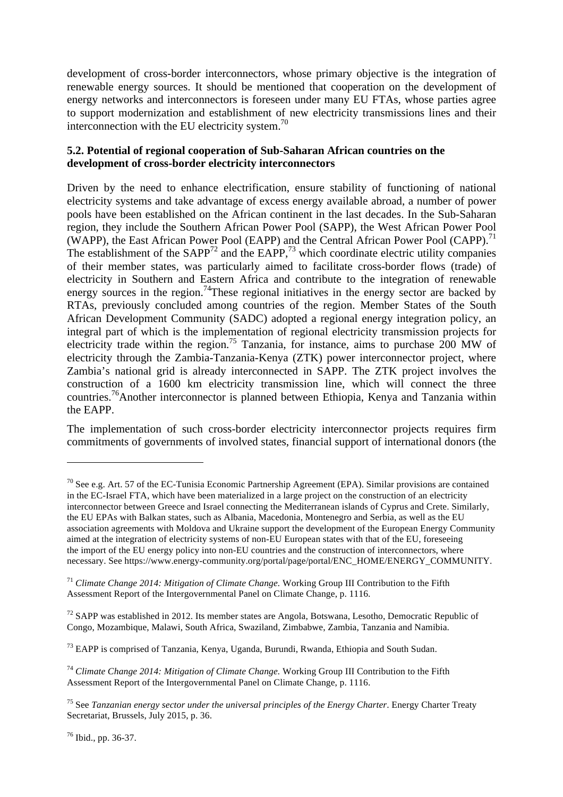development of cross-border interconnectors, whose primary objective is the integration of renewable energy sources. It should be mentioned that cooperation on the development of energy networks and interconnectors is foreseen under many EU FTAs, whose parties agree to support modernization and establishment of new electricity transmissions lines and their interconnection with the EU electricity system. $\frac{70}{2}$ 

# **5.2. Potential of regional cooperation of Sub-Saharan African countries on the development of cross-border electricity interconnectors**

Driven by the need to enhance electrification, ensure stability of functioning of national electricity systems and take advantage of excess energy available abroad, a number of power pools have been established on the African continent in the last decades. In the Sub-Saharan region, they include the Southern African Power Pool (SAPP), the West African Power Pool (WAPP), the East African Power Pool (EAPP) and the Central African Power Pool (CAPP).<sup>71</sup> The establishment of the  $SAPP^{72}$  and the  $EAPP^{73}$ , which coordinate electric utility companies of their member states, was particularly aimed to facilitate cross-border flows (trade) of electricity in Southern and Eastern Africa and contribute to the integration of renewable energy sources in the region.<sup>74</sup>These regional initiatives in the energy sector are backed by RTAs, previously concluded among countries of the region. Member States of the South African Development Community (SADC) adopted a regional energy integration policy, an integral part of which is the implementation of regional electricity transmission projects for electricity trade within the region.<sup>75</sup> Tanzania, for instance, aims to purchase 200 MW of electricity through the Zambia-Tanzania-Kenya (ZTK) power interconnector project, where Zambia's national grid is already interconnected in SAPP. The ZTK project involves the construction of a 1600 km electricity transmission line, which will connect the three countries.76Another interconnector is planned between Ethiopia, Kenya and Tanzania within the EAPP.

The implementation of such cross-border electricity interconnector projects requires firm commitments of governments of involved states, financial support of international donors (the

<sup>76</sup> Ibid., pp. 36-37.

 $70$  See e.g. Art. 57 of the EC-Tunisia Economic Partnership Agreement (EPA). Similar provisions are contained in the EC-Israel FTA, which have been materialized in a large project on the construction of an electricity interconnector between Greece and Israel connecting the Mediterranean islands of Cyprus and Crete. Similarly, the EU EPAs with Balkan states, such as Albania, Macedonia, Montenegro and Serbia, as well as the EU association agreements with Moldova and Ukraine support the development of the European Energy Community aimed at the integration of electricity systems of non-EU European states with that of the EU, foreseeing the import of the EU energy policy into non-EU countries and the construction of interconnectors, where necessary. See https://www.energy-community.org/portal/page/portal/ENC\_HOME/ENERGY\_COMMUNITY.

<sup>71</sup> *Climate Change 2014: Mitigation of Climate Change.* Working Group III Contribution to the Fifth Assessment Report of the Intergovernmental Panel on Climate Change, p. 1116.

 $72$  SAPP was established in 2012. Its member states are Angola, Botswana, Lesotho, Democratic Republic of Congo, Mozambique, Malawi, South Africa, Swaziland, Zimbabwe, Zambia, Tanzania and Namibia.

<sup>73</sup> EAPP is comprised of Tanzania, Kenya, Uganda, Burundi, Rwanda, Ethiopia and South Sudan.

<sup>74</sup> *Climate Change 2014: Mitigation of Climate Change.* Working Group III Contribution to the Fifth Assessment Report of the Intergovernmental Panel on Climate Change, p. 1116.

<sup>75</sup> See *Tanzanian energy sector under the universal principles of the Energy Charter*. Energy Charter Treaty Secretariat, Brussels, July 2015, p. 36.